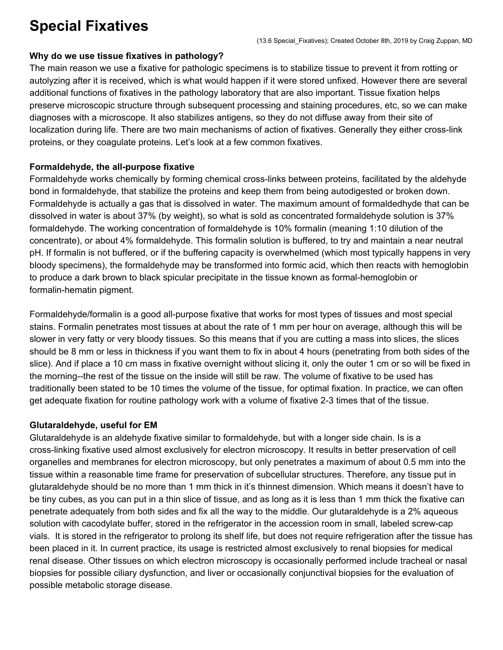## **Special Fixatives**

## **Why do we use tissue fixatives in pathology?**

The main reason we use a fixative for pathologic specimens is to stabilize tissue to prevent it from rotting or autolyzing after it is received, which is what would happen if it were stored unfixed. However there are several additional functions of fixatives in the pathology laboratory that are also important. Tissue fixation helps preserve microscopic structure through subsequent processing and staining procedures, etc, so we can make diagnoses with a microscope. It also stabilizes antigens, so they do not diffuse away from their site of localization during life. There are two main mechanisms of action of fixatives. Generally they either cross-link proteins, or they coagulate proteins. Let's look at a few common fixatives.

## **Formaldehyde, the all-purpose fixative**

Formaldehyde works chemically by forming chemical cross-links between proteins, facilitated by the aldehyde bond in formaldehyde, that stabilize the proteins and keep them from being autodigested or broken down. Formaldehyde is actually a gas that is dissolved in water. The maximum amount of formaldedhyde that can be dissolved in water is about 37% (by weight), so what is sold as concentrated formaldehyde solution is 37% formaldehyde. The working concentration of formaldehyde is 10% formalin (meaning 1:10 dilution of the concentrate), or about 4% formaldehyde. This formalin solution is buffered, to try and maintain a near neutral pH. If formalin is not buffered, or if the buffering capacity is overwhelmed (which most typically happens in very bloody specimens), the formaldehyde may be transformed into formic acid, which then reacts with hemoglobin to produce a dark brown to black spicular precipitate in the tissue known as formal-hemoglobin or formalin-hematin pigment.

Formaldehyde/formalin is a good all-purpose fixative that works for most types of tissues and most special stains. Formalin penetrates most tissues at about the rate of 1 mm per hour on average, although this will be slower in very fatty or very bloody tissues. So this means that if you are cutting a mass into slices, the slices should be 8 mm or less in thickness if you want them to fix in about 4 hours (penetrating from both sides of the slice). And if place a 10 cm mass in fixative overnight without slicing it, only the outer 1 cm or so will be fixed in the morning--the rest of the tissue on the inside will still be raw. The volume of fixative to be used has traditionally been stated to be 10 times the volume of the tissue, for optimal fixation. In practice, we can often get adequate fixation for routine pathology work with a volume of fixative 2-3 times that of the tissue.

## **Glutaraldehyde, useful for EM**

Glutaraldehyde is an aldehyde fixative similar to formaldehyde, but with a longer side chain. Is is a cross-linking fixative used almost exclusively for electron microscopy. It results in better preservation of cell organelles and membranes for electron microscopy, but only penetrates a maximum of about 0.5 mm into the tissue within a reasonable time frame for preservation of subcellular structures. Therefore, any tissue put in glutaraldehyde should be no more than 1 mm thick in it's thinnest dimension. Which means it doesn't have to be tiny cubes, as you can put in a thin slice of tissue, and as long as it is less than 1 mm thick the fixative can penetrate adequately from both sides and fix all the way to the middle. Our glutaraldehyde is a 2% aqueous solution with cacodylate buffer, stored in the refrigerator in the accession room in small, labeled screw-cap vials. It is stored in the refrigerator to prolong its shelf life, but does not require refrigeration after the tissue has been placed in it. In current practice, its usage is restricted almost exclusively to renal biopsies for medical renal disease. Other tissues on which electron microscopy is occasionally performed include tracheal or nasal biopsies for possible ciliary dysfunction, and liver or occasionally conjunctival biopsies for the evaluation of possible metabolic storage disease.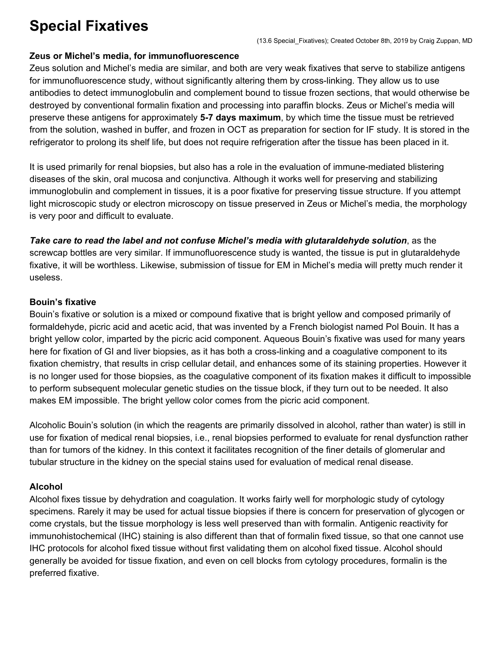## **Special Fixatives**

#### **Zeus or Michel's media, for immunofluorescence**

Zeus solution and Michel's media are similar, and both are very weak fixatives that serve to stabilize antigens for immunofluorescence study, without significantly altering them by cross-linking. They allow us to use antibodies to detect immunoglobulin and complement bound to tissue frozen sections, that would otherwise be destroyed by conventional formalin fixation and processing into paraffin blocks. Zeus or Michel's media will preserve these antigens for approximately **5-7 days maximum**, by which time the tissue must be retrieved from the solution, washed in buffer, and frozen in OCT as preparation for section for IF study. It is stored in the refrigerator to prolong its shelf life, but does not require refrigeration after the tissue has been placed in it.

It is used primarily for renal biopsies, but also has a role in the evaluation of immune-mediated blistering diseases of the skin, oral mucosa and conjunctiva. Although it works well for preserving and stabilizing immunoglobulin and complement in tissues, it is a poor fixative for preserving tissue structure. If you attempt light microscopic study or electron microscopy on tissue preserved in Zeus or Michel's media, the morphology is very poor and difficult to evaluate.

*Take care to read the label and not confuse Michel's media with glutaraldehyde solution*, as the screwcap bottles are very similar. If immunofluorescence study is wanted, the tissue is put in glutaraldehyde fixative, it will be worthless. Likewise, submission of tissue for EM in Michel's media will pretty much render it useless.

## **Bouin's fixative**

Bouin's fixative or solution is a mixed or compound fixative that is bright yellow and composed primarily of formaldehyde, picric acid and acetic acid, that was invented by a French biologist named Pol Bouin. It has a bright yellow color, imparted by the picric acid component. Aqueous Bouin's fixative was used for many years here for fixation of GI and liver biopsies, as it has both a cross-linking and a coagulative component to its fixation chemistry, that results in crisp cellular detail, and enhances some of its staining properties. However it is no longer used for those biopsies, as the coagulative component of its fixation makes it difficult to impossible to perform subsequent molecular genetic studies on the tissue block, if they turn out to be needed. It also makes EM impossible. The bright yellow color comes from the picric acid component.

Alcoholic Bouin's solution (in which the reagents are primarily dissolved in alcohol, rather than water) is still in use for fixation of medical renal biopsies, i.e., renal biopsies performed to evaluate for renal dysfunction rather than for tumors of the kidney. In this context it facilitates recognition of the finer details of glomerular and tubular structure in the kidney on the special stains used for evaluation of medical renal disease.

## **Alcohol**

Alcohol fixes tissue by dehydration and coagulation. It works fairly well for morphologic study of cytology specimens. Rarely it may be used for actual tissue biopsies if there is concern for preservation of glycogen or come crystals, but the tissue morphology is less well preserved than with formalin. Antigenic reactivity for immunohistochemical (IHC) staining is also different than that of formalin fixed tissue, so that one cannot use IHC protocols for alcohol fixed tissue without first validating them on alcohol fixed tissue. Alcohol should generally be avoided for tissue fixation, and even on cell blocks from cytology procedures, formalin is the preferred fixative.